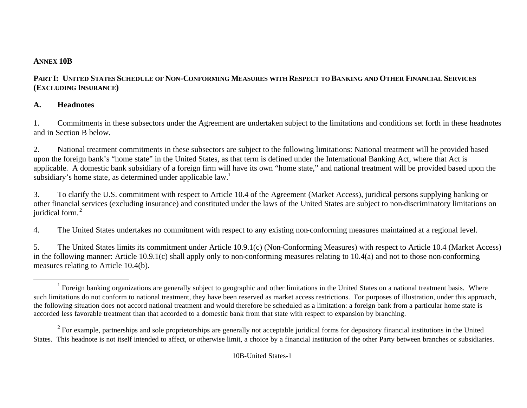#### **ANNEX 10B**

## PART I: UNITED STATES SCHEDULE OF NON-CONFORMING MEASURES WITH RESPECT TO BANKING AND OTHER FINANCIAL SERVICES **(EXCLUDING INSURANCE)**

## **A. Headnotes**

1. Commitments in these subsectors under the Agreement are undertaken subject to the limitations and conditions set forth in these headnotes and in Section B below.

2. National treatment commitments in these subsectors are subject to the following limitations: National treatment will be provided based upon the foreign bank's "home state" in the United States, as that term is defined under the International Banking Act, where that Act is applicable. A domestic bank subsidiary of a foreign firm will have its own "home state," and national treatment will be provided based upon the subsidiary's home state, as determined under applicable law.<sup>1</sup>

3. To clarify the U.S. commitment with respect to Article 10.4 of the Agreement (Market Access), juridical persons supplying banking or other financial services (excluding insurance) and constituted under the laws of the United States are subject to non-discriminatory limitations on juridical form.<sup>2</sup>

4. The United States undertakes no commitment with respect to any existing non-conforming measures maintained at a regional level.

5. The United States limits its commitment under Article 10.9.1(c) (Non-Conforming Measures) with respect to Article 10.4 (Market Access) in the following manner: Article 10.9.1(c) shall apply only to non-conforming measures relating to 10.4(a) and not to those non-conforming measures relating to Article 10.4(b).

l <sup>1</sup> Foreign banking organizations are generally subject to geographic and other limitations in the United States on a national treatment basis. Where such limitations do not conform to national treatment, they have been reserved as market access restrictions. For purposes of illustration, under this approach, the following situation does not accord national treatment and would therefore be scheduled as a limitation: a foreign bank from a particular home state is accorded less favorable treatment than that accorded to a domestic bank from that state with respect to expansion by branching.

 $2^2$  For example, partnerships and sole proprietorships are generally not acceptable juridical forms for depository financial institutions in the United States. This headnote is not itself intended to affect, or otherwise limit, a choice by a financial institution of the other Party between branches or subsidiaries.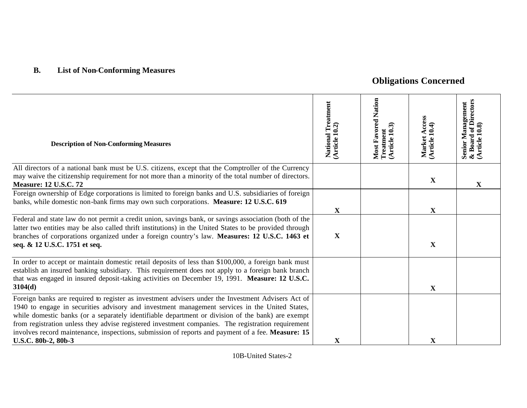# **B. List of Non-Conforming Measures**

# **Obligations Concerned**

| <b>Description of Non-Conforming Measures</b>                                                                                                                                                                                                                                                                                                                                                                                                                                                                                               | National Treatment<br>(Article 10.2) | Most Favored Nation<br>Treatment<br>$(A$ rticle $10.3$ | Market Access<br>(Article 10.4) | Senior Management<br>& Board of Directors<br>(Article 10.8) |
|---------------------------------------------------------------------------------------------------------------------------------------------------------------------------------------------------------------------------------------------------------------------------------------------------------------------------------------------------------------------------------------------------------------------------------------------------------------------------------------------------------------------------------------------|--------------------------------------|--------------------------------------------------------|---------------------------------|-------------------------------------------------------------|
| All directors of a national bank must be U.S. citizens, except that the Comptroller of the Currency<br>may waive the citizenship requirement for not more than a minority of the total number of directors.<br><b>Measure: 12 U.S.C. 72</b>                                                                                                                                                                                                                                                                                                 |                                      |                                                        | $\mathbf X$                     | X                                                           |
| Foreign ownership of Edge corporations is limited to foreign banks and U.S. subsidiaries of foreign<br>banks, while domestic non-bank firms may own such corporations. Measure: 12 U.S.C. 619                                                                                                                                                                                                                                                                                                                                               | $\mathbf X$                          |                                                        | $\mathbf X$                     |                                                             |
| Federal and state law do not permit a credit union, savings bank, or savings association (both of the<br>latter two entities may be also called thrift institutions) in the United States to be provided through<br>branches of corporations organized under a foreign country's law. Measures: 12 U.S.C. 1463 et<br>seq. & 12 U.S.C. 1751 et seq.                                                                                                                                                                                          | $\mathbf X$                          |                                                        | $\mathbf X$                     |                                                             |
| In order to accept or maintain domestic retail deposits of less than \$100,000, a foreign bank must<br>establish an insured banking subsidiary. This requirement does not apply to a foreign bank branch<br>that was engaged in insured deposit-taking activities on December 19, 1991. Measure: 12 U.S.C.<br>3104(d)                                                                                                                                                                                                                       |                                      |                                                        | $\mathbf X$                     |                                                             |
| Foreign banks are required to register as investment advisers under the Investment Advisers Act of<br>1940 to engage in securities advisory and investment management services in the United States,<br>while domestic banks (or a separately identifiable department or division of the bank) are exempt<br>from registration unless they advise registered investment companies. The registration requirement<br>involves record maintenance, inspections, submission of reports and payment of a fee. Measure: 15<br>U.S.C. 80b-2, 80b-3 | $\mathbf X$                          |                                                        | $\overline{\mathbf{X}}$         |                                                             |

10B-United States-2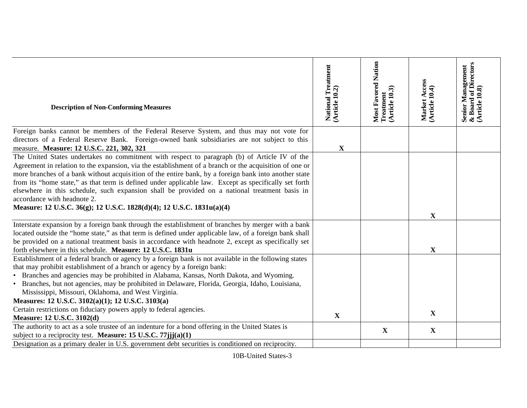| <b>Description of Non-Conforming Measures</b>                                                                                                                                                                                                                                                                                                                                                                                                                                                                                                                                                                                     | National Treatment<br>(Article 10.2) | Most Favored Nation<br>Treatment<br>(Article 10.3) | Market Access<br>(Article 10.4) | Senior Management<br>& Board of Directors<br>(Article 10.8) |
|-----------------------------------------------------------------------------------------------------------------------------------------------------------------------------------------------------------------------------------------------------------------------------------------------------------------------------------------------------------------------------------------------------------------------------------------------------------------------------------------------------------------------------------------------------------------------------------------------------------------------------------|--------------------------------------|----------------------------------------------------|---------------------------------|-------------------------------------------------------------|
| Foreign banks cannot be members of the Federal Reserve System, and thus may not vote for<br>directors of a Federal Reserve Bank. Foreign-owned bank subsidiaries are not subject to this                                                                                                                                                                                                                                                                                                                                                                                                                                          |                                      |                                                    |                                 |                                                             |
| measure. Measure: 12 U.S.C. 221, 302, 321                                                                                                                                                                                                                                                                                                                                                                                                                                                                                                                                                                                         | $\mathbf X$                          |                                                    |                                 |                                                             |
| The United States undertakes no commitment with respect to paragraph (b) of Article IV of the<br>Agreement in relation to the expansion, via the establishment of a branch or the acquisition of one or<br>more branches of a bank without acquisition of the entire bank, by a foreign bank into another state<br>from its "home state," as that term is defined under applicable law. Except as specifically set forth<br>elsewhere in this schedule, such expansion shall be provided on a national treatment basis in<br>accordance with headnote 2.<br>Measure: 12 U.S.C. 36(g); 12 U.S.C. 1828(d)(4); 12 U.S.C. 1831u(a)(4) |                                      |                                                    | $\mathbf{X}$                    |                                                             |
| Interstate expansion by a foreign bank through the establishment of branches by merger with a bank                                                                                                                                                                                                                                                                                                                                                                                                                                                                                                                                |                                      |                                                    |                                 |                                                             |
| located outside the "home state," as that term is defined under applicable law, of a foreign bank shall<br>be provided on a national treatment basis in accordance with headnote 2, except as specifically set                                                                                                                                                                                                                                                                                                                                                                                                                    |                                      |                                                    |                                 |                                                             |
| forth elsewhere in this schedule. Measure: 12 U.S.C. 1831u                                                                                                                                                                                                                                                                                                                                                                                                                                                                                                                                                                        |                                      |                                                    | $\mathbf X$                     |                                                             |
| Establishment of a federal branch or agency by a foreign bank is not available in the following states<br>that may prohibit establishment of a branch or agency by a foreign bank:<br>• Branches and agencies may be prohibited in Alabama, Kansas, North Dakota, and Wyoming.<br>• Branches, but not agencies, may be prohibited in Delaware, Florida, Georgia, Idaho, Louisiana,<br>Mississippi, Missouri, Oklahoma, and West Virginia.<br>Measures: 12 U.S.C. 3102(a)(1); 12 U.S.C. 3103(a)                                                                                                                                    |                                      |                                                    |                                 |                                                             |
| Certain restrictions on fiduciary powers apply to federal agencies.                                                                                                                                                                                                                                                                                                                                                                                                                                                                                                                                                               | $\mathbf X$                          |                                                    | $\mathbf X$                     |                                                             |
| Measure: 12 U.S.C. 3102(d)                                                                                                                                                                                                                                                                                                                                                                                                                                                                                                                                                                                                        |                                      |                                                    |                                 |                                                             |
| The authority to act as a sole trustee of an indenture for a bond offering in the United States is<br>subject to a reciprocity test. Measure: 15 U.S.C. 77jjj(a)(1)                                                                                                                                                                                                                                                                                                                                                                                                                                                               |                                      | $\mathbf X$                                        | $\mathbf{X}$                    |                                                             |
| Designation as a primary dealer in U.S. government debt securities is conditioned on reciprocity.                                                                                                                                                                                                                                                                                                                                                                                                                                                                                                                                 |                                      |                                                    |                                 |                                                             |

10B -United States - 3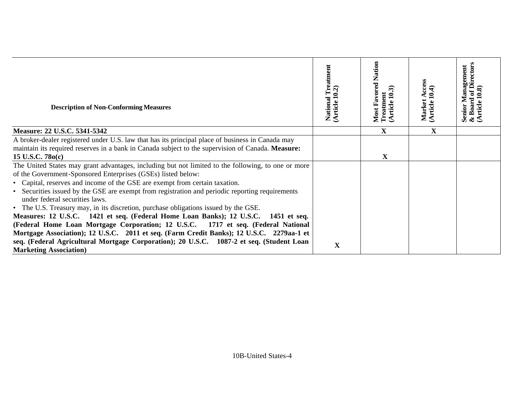| <b>Description of Non-Conforming Measures</b>                                                                                                                                                                                                                                                                                                                                                                                                                                 | National Treatment<br>(Article 10.2) | Nation<br><b>Most Favored I</b><br>Treatment<br><b>Article</b> | ccess<br>Market<br>(Article J | Senior Management<br>& Board of Directors<br>(Article 10.8) |
|-------------------------------------------------------------------------------------------------------------------------------------------------------------------------------------------------------------------------------------------------------------------------------------------------------------------------------------------------------------------------------------------------------------------------------------------------------------------------------|--------------------------------------|----------------------------------------------------------------|-------------------------------|-------------------------------------------------------------|
| Measure: 22 U.S.C. 5341-5342                                                                                                                                                                                                                                                                                                                                                                                                                                                  |                                      | $\mathbf X$                                                    | $\mathbf X$                   |                                                             |
| A broker-dealer registered under U.S. law that has its principal place of business in Canada may<br>maintain its required reserves in a bank in Canada subject to the supervision of Canada. Measure:<br>15 U.S.C. $780(c)$                                                                                                                                                                                                                                                   |                                      | $\mathbf X$                                                    |                               |                                                             |
| The United States may grant advantages, including but not limited to the following, to one or more<br>of the Government-Sponsored Enterprises (GSEs) listed below:<br>• Capital, reserves and income of the GSE are exempt from certain taxation.<br>• Securities issued by the GSE are exempt from registration and periodic reporting requirements<br>under federal securities laws.<br>• The U.S. Treasury may, in its discretion, purchase obligations issued by the GSE. |                                      |                                                                |                               |                                                             |
| Measures: 12 U.S.C. 1421 et seq. (Federal Home Loan Banks); 12 U.S.C.<br>1451 et seq.<br>(Federal Home Loan Mortgage Corporation; 12 U.S.C. 1717 et seq. (Federal National<br>Mortgage Association); 12 U.S.C. 2011 et seq. (Farm Credit Banks); 12 U.S.C. 2279aa-1 et<br>seq. (Federal Agricultural Mortgage Corporation); 20 U.S.C. 1087-2 et seq. (Student Loan<br><b>Marketing Association</b> )                                                                          | $\mathbf X$                          |                                                                |                               |                                                             |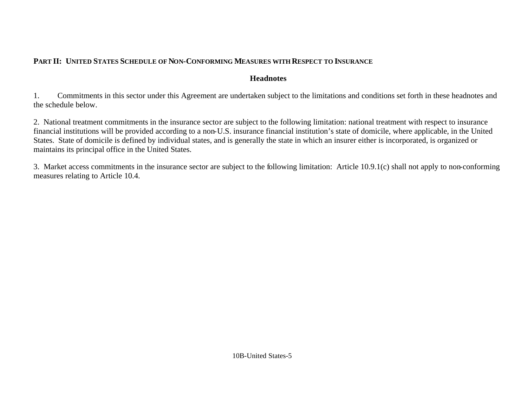### **PART II: UNITED STATES SCHEDULE OF NON-CONFORMING MEASURES WITH RESPECT TO INSURANCE**

#### **Headnotes**

1. Commitments in this sector under this Agreement are undertaken subject to the limitations and conditions set forth in these headnotes and the schedule below.

2. National treatment commitments in the insurance sector are subject to the following limitation: national treatment with respect to insurance financial institutions will be provided according to a non-U.S. insurance financial institution's state of domicile, where applicable, in the United States. State of domicile is defined by individual states, and is generally the state in which an insurer either is incorporated, is organized or maintains its principal office in the United States.

3. Market access commitments in the insurance sector are subject to the following limitation: Article 10.9.1(c) shall not apply to non-conforming measures relating to Article 10.4.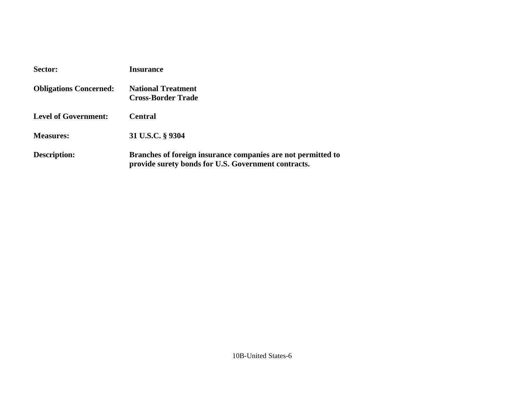| Sector:                       | <b>Insurance</b>                                                                                                    |
|-------------------------------|---------------------------------------------------------------------------------------------------------------------|
| <b>Obligations Concerned:</b> | <b>National Treatment</b><br><b>Cross-Border Trade</b>                                                              |
| <b>Level of Government:</b>   | <b>Central</b>                                                                                                      |
| <b>Measures:</b>              | 31 U.S.C. § 9304                                                                                                    |
| <b>Description:</b>           | Branches of foreign insurance companies are not permitted to<br>provide surety bonds for U.S. Government contracts. |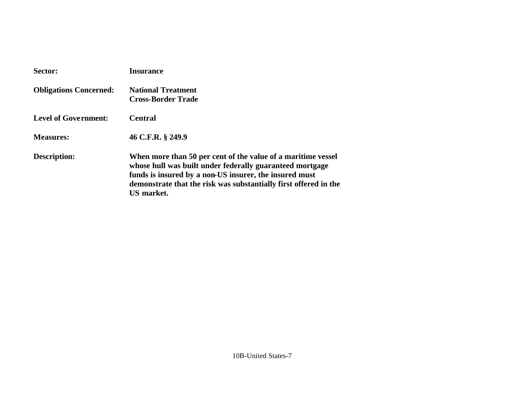| Sector:                       | <b>Insurance</b>                                                                                                                                                                                                                                                     |
|-------------------------------|----------------------------------------------------------------------------------------------------------------------------------------------------------------------------------------------------------------------------------------------------------------------|
| <b>Obligations Concerned:</b> | <b>National Treatment</b><br><b>Cross-Border Trade</b>                                                                                                                                                                                                               |
| <b>Level of Government:</b>   | <b>Central</b>                                                                                                                                                                                                                                                       |
| <b>Measures:</b>              | 46 C.F.R. § 249.9                                                                                                                                                                                                                                                    |
| <b>Description:</b>           | When more than 50 per cent of the value of a maritime vessel<br>whose hull was built under federally guaranteed mortgage<br>funds is insured by a non-US insurer, the insured must<br>demonstrate that the risk was substantially first offered in the<br>US market. |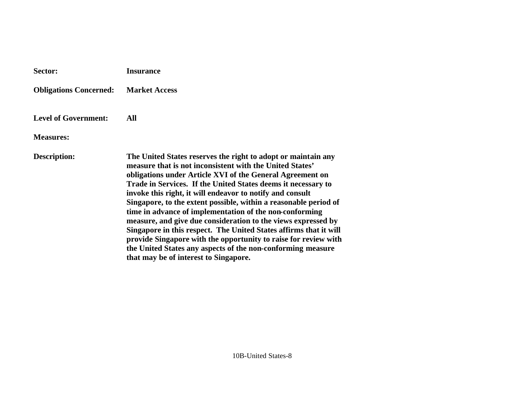| Sector:                       | <b>Insurance</b>                                                                                                                                                                                                                                                                                                                                                                                                                                                                                                                                                                                                                                                                                                                                                     |
|-------------------------------|----------------------------------------------------------------------------------------------------------------------------------------------------------------------------------------------------------------------------------------------------------------------------------------------------------------------------------------------------------------------------------------------------------------------------------------------------------------------------------------------------------------------------------------------------------------------------------------------------------------------------------------------------------------------------------------------------------------------------------------------------------------------|
| <b>Obligations Concerned:</b> | <b>Market Access</b>                                                                                                                                                                                                                                                                                                                                                                                                                                                                                                                                                                                                                                                                                                                                                 |
| <b>Level of Government:</b>   | All                                                                                                                                                                                                                                                                                                                                                                                                                                                                                                                                                                                                                                                                                                                                                                  |
| <b>Measures:</b>              |                                                                                                                                                                                                                                                                                                                                                                                                                                                                                                                                                                                                                                                                                                                                                                      |
| <b>Description:</b>           | The United States reserves the right to adopt or maintain any<br>measure that is not inconsistent with the United States'<br>obligations under Article XVI of the General Agreement on<br>Trade in Services. If the United States deems it necessary to<br>invoke this right, it will endeavor to notify and consult<br>Singapore, to the extent possible, within a reasonable period of<br>time in advance of implementation of the non-conforming<br>measure, and give due consideration to the views expressed by<br>Singapore in this respect. The United States affirms that it will<br>provide Singapore with the opportunity to raise for review with<br>the United States any aspects of the non-conforming measure<br>that may be of interest to Singapore. |